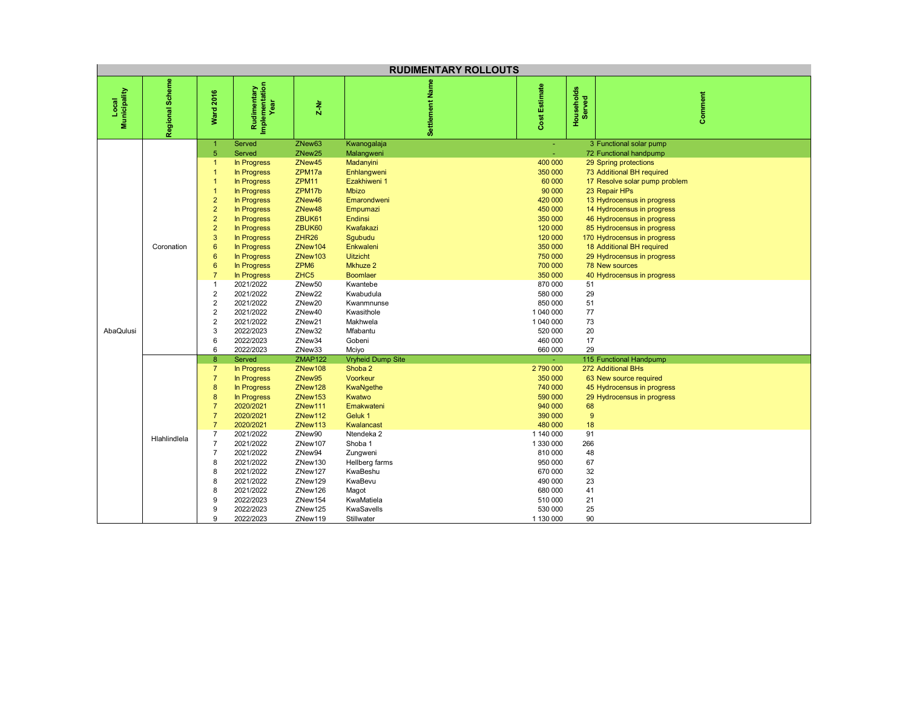| <b>RUDIMENTARY ROLLOUTS</b> |                 |                                                                                                                                                                                                                                                                                                                                                              |                                                                                                                                                                                                                                                                                                                                    |                                                                                                                                                                                                                                                                                                                                |                                                                                                                                                                                                                                                                                                                    |                                                                                                                                                                                                                                             |                                                                            |                                                                                                                                                                                                                                                                                                                                                                                                                                    |  |  |
|-----------------------------|-----------------|--------------------------------------------------------------------------------------------------------------------------------------------------------------------------------------------------------------------------------------------------------------------------------------------------------------------------------------------------------------|------------------------------------------------------------------------------------------------------------------------------------------------------------------------------------------------------------------------------------------------------------------------------------------------------------------------------------|--------------------------------------------------------------------------------------------------------------------------------------------------------------------------------------------------------------------------------------------------------------------------------------------------------------------------------|--------------------------------------------------------------------------------------------------------------------------------------------------------------------------------------------------------------------------------------------------------------------------------------------------------------------|---------------------------------------------------------------------------------------------------------------------------------------------------------------------------------------------------------------------------------------------|----------------------------------------------------------------------------|------------------------------------------------------------------------------------------------------------------------------------------------------------------------------------------------------------------------------------------------------------------------------------------------------------------------------------------------------------------------------------------------------------------------------------|--|--|
| Local<br>Municipality       | Regional Scheme | <b>Ward 2016</b>                                                                                                                                                                                                                                                                                                                                             | Rudimentary<br>Implementation<br>Year                                                                                                                                                                                                                                                                                              | $2-Nr$                                                                                                                                                                                                                                                                                                                         | Settlement Nam                                                                                                                                                                                                                                                                                                     | Cost Estimate                                                                                                                                                                                                                               | Households<br>Served                                                       | Comment                                                                                                                                                                                                                                                                                                                                                                                                                            |  |  |
| AbaQulusi                   | Coronation      | $\overline{1}$<br>$\overline{5}$<br>$\blacktriangleleft$<br>$\overline{1}$<br>$\overline{1}$<br>$\blacktriangleleft$<br>$\overline{2}$<br>$\overline{2}$<br>$\overline{2}$<br>$\overline{2}$<br>3<br>$6\phantom{1}6$<br>6<br>6<br>$\overline{7}$<br>$\mathbf{1}$<br>$\sqrt{2}$<br>$\overline{\mathbf{c}}$<br>$\overline{2}$<br>$\overline{2}$<br>3<br>6<br>6 | Served<br>Served<br>In Progress<br>In Progress<br>In Progress<br>In Progress<br>In Progress<br><b>In Progress</b><br>In Progress<br>In Progress<br>In Progress<br>In Progress<br>In Progress<br>In Progress<br>In Progress<br>2021/2022<br>2021/2022<br>2021/2022<br>2021/2022<br>2021/2022<br>2022/2023<br>2022/2023<br>2022/2023 | ZNew63<br>ZNew <sub>25</sub><br>ZNew45<br>ZPM17a<br>ZPM <sub>11</sub><br>ZPM17b<br>ZNew46<br>ZNew48<br>ZBUK61<br>ZBUK60<br>ZHR <sub>26</sub><br>ZNew104<br>ZNew103<br>ZPM <sub>6</sub><br>ZHC <sub>5</sub><br>ZNew <sub>50</sub><br>ZNew <sub>22</sub><br>ZNew20<br>ZNew40<br>ZNew <sub>21</sub><br>ZNew32<br>ZNew34<br>ZNew33 | Kwanogalaja<br>Malangweni<br>Madanyini<br>Enhlangweni<br>Ezakhiweni 1<br><b>Mbizo</b><br>Emarondweni<br>Empumazi<br>Endinsi<br>Kwafakazi<br>Sgubudu<br>Enkwaleni<br><b>Uitzicht</b><br>Mkhuze 2<br><b>Boomlaer</b><br>Kwantebe<br>Kwabudula<br>Kwanmnunse<br>Kwasithole<br>Makhwela<br>Mfabantu<br>Gobeni<br>Mciyo | ÷.<br>400 000<br>350 000<br>60 000<br>90 000<br>420 000<br>450 000<br>350 000<br>120 000<br>120 000<br>350 000<br>750 000<br>700 000<br>350 000<br>870 000<br>580 000<br>850 000<br>1 040 000<br>1 040 000<br>520 000<br>460 000<br>660 000 | 51<br>29<br>51<br>77<br>73<br>20<br>17<br>29                               | 3 Functional solar pump<br>72 Functional handpump<br>29 Spring protections<br>73 Additional BH required<br>17 Resolve solar pump problem<br>23 Repair HPs<br>13 Hydrocensus in progress<br>14 Hydrocensus in progress<br>46 Hydrocensus in progress<br>85 Hydrocensus in progress<br>170 Hydrocensus in progress<br>18 Additional BH required<br>29 Hydrocensus in progress<br><b>78 New sources</b><br>40 Hydrocensus in progress |  |  |
|                             | Hlahlindlela    | $\boldsymbol{8}$<br>$\overline{7}$<br>$\overline{7}$<br>$\boldsymbol{8}$<br>8<br>$\overline{7}$<br>$\overline{7}$<br>$\overline{7}$<br>$\overline{7}$<br>$\overline{7}$<br>$\overline{7}$<br>8<br>8<br>8<br>8<br>9<br>9<br>9                                                                                                                                 | Served<br>In Progress<br>In Progress<br>In Progress<br>In Progress<br>2020/2021<br>2020/2021<br>2020/2021<br>2021/2022<br>2021/2022<br>2021/2022<br>2021/2022<br>2021/2022<br>2021/2022<br>2021/2022<br>2022/2023<br>2022/2023<br>2022/2023                                                                                        | <b>ZMAP122</b><br>ZNew108<br>ZNew95<br>ZNew128<br>ZNew153<br>ZNew111<br>ZNew112<br>ZNew113<br>ZNew90<br>ZNew107<br>ZNew94<br>ZNew130<br>ZNew127<br>ZNew129<br>ZNew126<br>ZNew154<br>ZNew125<br>ZNew119                                                                                                                         | <b>Vryheid Dump Site</b><br>Shoba 2<br>Voorkeur<br>KwaNgethe<br>Kwatwo<br>Emakwateni<br>Geluk 1<br>Kwalancast<br>Ntendeka 2<br>Shoba 1<br>Zungweni<br>Hellberg farms<br>KwaBeshu<br>KwaBevu<br>Magot<br>KwaMatiela<br>KwaSavells<br>Stillwater                                                                     | ÷.<br>2790000<br>350 000<br>740 000<br>590 000<br>940 000<br>390 000<br>480 000<br>1 140 000<br>1 330 000<br>810 000<br>950 000<br>670 000<br>490 000<br>680 000<br>510 000<br>530 000<br>1 130 000                                         | 68<br>9<br>18<br>91<br>266<br>48<br>67<br>32<br>23<br>41<br>21<br>25<br>90 | 115 Functional Handpump<br>272 Additional BHs<br>63 New source required<br>45 Hydrocensus in progress<br>29 Hydrocensus in progress                                                                                                                                                                                                                                                                                                |  |  |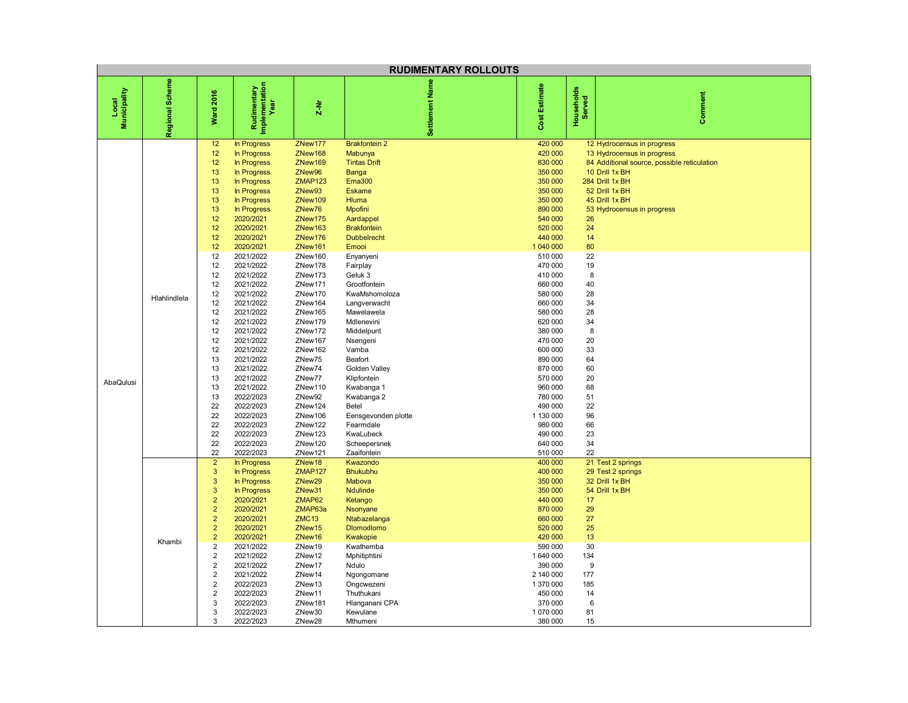| <b>RUDIMENTARY ROLLOUTS</b> |                 |                                                                                                                                                                                                                                                                          |                                                                                                                                                                                                                                                                                                                                                                                                                                                                                             |                                                                                                                                                                                                                                                                                                                                                                                    |                                                                                                                                                                                                                                                                                                                                                                                                                                                                                                                    |                                                                                                                                                                                                                                                                                                                                                                                        |                                                                                                                                                        |                                                                                                                                                                                                                |  |
|-----------------------------|-----------------|--------------------------------------------------------------------------------------------------------------------------------------------------------------------------------------------------------------------------------------------------------------------------|---------------------------------------------------------------------------------------------------------------------------------------------------------------------------------------------------------------------------------------------------------------------------------------------------------------------------------------------------------------------------------------------------------------------------------------------------------------------------------------------|------------------------------------------------------------------------------------------------------------------------------------------------------------------------------------------------------------------------------------------------------------------------------------------------------------------------------------------------------------------------------------|--------------------------------------------------------------------------------------------------------------------------------------------------------------------------------------------------------------------------------------------------------------------------------------------------------------------------------------------------------------------------------------------------------------------------------------------------------------------------------------------------------------------|----------------------------------------------------------------------------------------------------------------------------------------------------------------------------------------------------------------------------------------------------------------------------------------------------------------------------------------------------------------------------------------|--------------------------------------------------------------------------------------------------------------------------------------------------------|----------------------------------------------------------------------------------------------------------------------------------------------------------------------------------------------------------------|--|
| Local<br>Municipality       | Regional Scheme | <b>Ward 2016</b>                                                                                                                                                                                                                                                         | Rudimentary<br>Implementation<br>Year                                                                                                                                                                                                                                                                                                                                                                                                                                                       | $\frac{1}{2}$                                                                                                                                                                                                                                                                                                                                                                      | Settlement Na                                                                                                                                                                                                                                                                                                                                                                                                                                                                                                      | Cost Estimate                                                                                                                                                                                                                                                                                                                                                                          | Households<br>Served                                                                                                                                   | Comment                                                                                                                                                                                                        |  |
| AbaQulusi                   | Hlahlindlela    | 12<br>12<br>12<br>13<br>13<br>13<br>13<br>13<br>12<br>12<br>12<br>12<br>12<br>12<br>12<br>12<br>12<br>12<br>12<br>12<br>12<br>12<br>12<br>13<br>13<br>13<br>13<br>13<br>22<br>22<br>22<br>22<br>22<br>22                                                                 | In Progress<br><b>In Progress</b><br>In Progress<br><b>In Progress</b><br><b>In Progress</b><br>In Progress<br>In Progress<br>In Progress<br>2020/2021<br>2020/2021<br>2020/2021<br>2020/2021<br>2021/2022<br>2021/2022<br>2021/2022<br>2021/2022<br>2021/2022<br>2021/2022<br>2021/2022<br>2021/2022<br>2021/2022<br>2021/2022<br>2021/2022<br>2021/2022<br>2021/2022<br>2021/2022<br>2021/2022<br>2022/2023<br>2022/2023<br>2022/2023<br>2022/2023<br>2022/2023<br>2022/2023<br>2022/2023 | ZNew177<br>ZNew168<br>ZNew169<br>ZNew96<br><b>ZMAP123</b><br>ZNew93<br>ZNew109<br>ZNew76<br>ZNew175<br>ZNew163<br>ZNew176<br>ZNew161<br>ZNew160<br>ZNew178<br>ZNew173<br>ZNew171<br>ZNew170<br>ZNew164<br>ZNew165<br>ZNew179<br>ZNew172<br>ZNew167<br>ZNew162<br>ZNew75<br>ZNew74<br>ZNew77<br>ZNew110<br>ZNew92<br>ZNew124<br>ZNew106<br>ZNew122<br>ZNew123<br>ZNew120<br>ZNew121 | <b>Brakfontein 2</b><br>Mabunya<br><b>Tintas Drift</b><br>Banga<br><b>Ema300</b><br><b>Eskame</b><br><b>Hluma</b><br>Mpofini<br>Aardappel<br><b>Brakfontein</b><br><b>Dubbelrecht</b><br>Emooi<br>Enyanyeni<br>Fairplay<br>Geluk 3<br>Grootfontein<br>KwaMshomoloza<br>Langverwacht<br>Mawelawela<br>Mdlenevini<br>Middelpunt<br>Nsengeni<br>Vamba<br>Beafort<br>Golden Valley<br>Klipfontein<br>Kwabanga 1<br>Kwabanga 2<br>Betel<br>Eensgevonden plotte<br>Fearmdale<br>KwaLubeck<br>Scheepersnek<br>Zaaifontein | 420 000<br>420 000<br>830 000<br>350 000<br>350 000<br>350 000<br>350 000<br>890 000<br>540 000<br>520 000<br>440 000<br>1 040 000<br>510 000<br>470 000<br>410 000<br>660 000<br>580 000<br>660 000<br>580 000<br>620 000<br>380 000<br>470 000<br>600 000<br>890 000<br>870 000<br>570 000<br>960 000<br>780 000<br>490 000<br>1 130 000<br>980 000<br>490 000<br>640 000<br>510 000 | 26<br>24<br>14<br>80<br>22<br>19<br>8<br>40<br>28<br>34<br>28<br>34<br>8<br>20<br>33<br>64<br>60<br>20<br>68<br>51<br>22<br>96<br>66<br>23<br>34<br>22 | 12 Hydrocensus in progress<br>13 Hydrocensus in progress<br>84 Additional source, possible reticulation<br>10 Drill 1x BH<br>284 Drill 1x BH<br>52 Drill 1x BH<br>45 Drill 1x BH<br>53 Hydrocensus in progress |  |
|                             | Khambi          | $\overline{2}$<br>$\mathbf{3}$<br>3<br>$\mathbf{3}$<br>$\overline{2}$<br>$\overline{2}$<br>$\overline{2}$<br>$\overline{2}$<br>$\overline{2}$<br>$\overline{2}$<br>$\overline{2}$<br>$\overline{2}$<br>$\overline{2}$<br>$\overline{2}$<br>$\overline{2}$<br>3<br>3<br>3 | In Progress<br><b>In Progress</b><br>In Progress<br><b>In Progress</b><br>2020/2021<br>2020/2021<br>2020/2021<br>2020/2021<br>2020/2021<br>2021/2022<br>2021/2022<br>2021/2022<br>2021/2022<br>2022/2023<br>2022/2023<br>2022/2023<br>2022/2023<br>2022/2023                                                                                                                                                                                                                                | ZNew18<br><b>ZMAP127</b><br>ZNew <sub>29</sub><br>ZNew31<br>ZMAP62<br>ZMAP63a<br>ZMC <sub>13</sub><br>ZNew15<br>ZNew16<br>ZNew19<br>ZNew12<br>ZNew17<br>ZNew14<br>ZNew13<br>ZNew11<br>ZNew181<br>ZNew30<br>ZNew28                                                                                                                                                                  | Kwazondo<br><b>Bhukubhu</b><br><b>Mabova</b><br><b>Ndulinde</b><br>Ketango<br>Nsonyane<br>Ntabazelanga<br><b>Dlomodlomo</b><br>Kwakopie<br>Kwathemba<br>Mphitiphtini<br>Ndulo<br>Ngongomane<br>Ongcwezeni<br>Thuthukani<br>Hlanganani CPA<br>Kewulane<br>Mthumeni                                                                                                                                                                                                                                                  | 400 000<br>400 000<br>350 000<br>350 000<br>440 000<br>870 000<br>660 000<br>520 000<br>420 000<br>590 000<br>1640000<br>390 000<br>2 140 000<br>1 370 000<br>450 000<br>370 000<br>1 070 000<br>380 000                                                                                                                                                                               | 17<br>29<br>27<br>25<br>13<br>30<br>134<br>9<br>177<br>185<br>14<br>$\boldsymbol{6}$<br>81<br>15                                                       | 21 Test 2 springs<br>29 Test 2 springs<br>32 Drill 1x BH<br>54 Drill 1x BH                                                                                                                                     |  |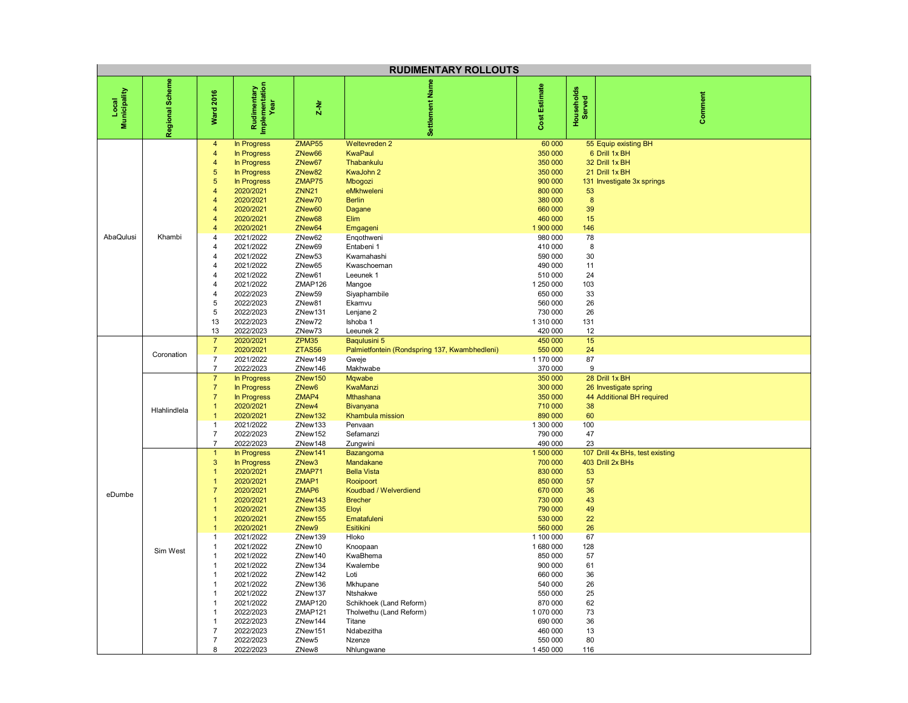| <b>RUDIMENTARY ROLLOUTS</b> |                            |                                                                                                                                                                                                                                                                                                                                                                                                                                                |                                                                                                                                                                                                                                                                                                                                                    |                                                                                                                                                                                                                                                                                                      |                                                                                                                                                                                                                                                                                                                                                                                             |                                                                                                                                                                                                                                                                                                      |                                                                                                                                                     |                                                                                                         |  |
|-----------------------------|----------------------------|------------------------------------------------------------------------------------------------------------------------------------------------------------------------------------------------------------------------------------------------------------------------------------------------------------------------------------------------------------------------------------------------------------------------------------------------|----------------------------------------------------------------------------------------------------------------------------------------------------------------------------------------------------------------------------------------------------------------------------------------------------------------------------------------------------|------------------------------------------------------------------------------------------------------------------------------------------------------------------------------------------------------------------------------------------------------------------------------------------------------|---------------------------------------------------------------------------------------------------------------------------------------------------------------------------------------------------------------------------------------------------------------------------------------------------------------------------------------------------------------------------------------------|------------------------------------------------------------------------------------------------------------------------------------------------------------------------------------------------------------------------------------------------------------------------------------------------------|-----------------------------------------------------------------------------------------------------------------------------------------------------|---------------------------------------------------------------------------------------------------------|--|
| Municipality<br>Local       | Regional Scheme            | <b>Ward 2016</b>                                                                                                                                                                                                                                                                                                                                                                                                                               | Rudimentary<br>Implementation<br><b>Year</b>                                                                                                                                                                                                                                                                                                       | $2-Nr$                                                                                                                                                                                                                                                                                               | Settlement Nam                                                                                                                                                                                                                                                                                                                                                                              | Estimate<br>Cost                                                                                                                                                                                                                                                                                     | Households<br>Served                                                                                                                                | Comment                                                                                                 |  |
| AbaQulusi                   | Khambi                     | $\overline{\mathbf{4}}$<br>$\overline{4}$<br>$\overline{4}$<br>$\overline{5}$<br>$\overline{5}$<br>$\overline{4}$<br>$\overline{4}$<br>$\overline{4}$<br>$\overline{4}$<br>$\overline{4}$<br>$\overline{4}$<br>$\overline{4}$<br>$\overline{4}$<br>4<br>$\overline{\mathbf{4}}$<br>4<br>4<br>$\sqrt{5}$<br>5<br>13<br>13                                                                                                                       | In Progress<br>In Progress<br>In Progress<br>In Progress<br>In Progress<br>2020/2021<br>2020/2021<br>2020/2021<br>2020/2021<br>2020/2021<br>2021/2022<br>2021/2022<br>2021/2022<br>2021/2022<br>2021/2022<br>2021/2022<br>2022/2023<br>2022/2023<br>2022/2023<br>2022/2023<br>2022/2023                                                            | ZMAP55<br>ZNew66<br>ZNew67<br>ZNew82<br>ZMAP75<br><b>ZNN21</b><br>ZNew70<br>ZNew60<br>ZNew68<br>ZNew64<br>ZNew62<br>ZNew69<br>ZNew <sub>53</sub><br>ZNew65<br>ZNew61<br>ZMAP126<br>ZNew59<br>ZNew81<br>ZNew131<br>ZNew72<br>ZNew73                                                                   | <b>Weltevreden 2</b><br><b>KwaPaul</b><br>Thabankulu<br>KwaJohn 2<br>Mbogozi<br>eMkhweleni<br><b>Berlin</b><br>Dagane<br>Elim<br>Emgageni<br>Engothweni<br>Entabeni 1<br>Kwamahashi<br>Kwaschoeman<br>Leeunek 1<br>Mangoe<br>Siyaphambile<br>Ekamvu<br>Lenjane 2<br>Ishoba 1<br>Leeunek <sub>2</sub>                                                                                        | 60 000<br>350 000<br>350 000<br>350 000<br>900 000<br>800 000<br>380 000<br>660 000<br>460 000<br>1 900 000<br>980 000<br>410 000<br>590 000<br>490 000<br>510 000<br>1 250 000<br>650 000<br>560 000<br>730 000<br>1 310 000<br>420 000                                                             | 53<br>$\boldsymbol{8}$<br>39<br>15<br>146<br>78<br>8<br>30<br>11<br>24<br>103<br>33<br>26<br>26<br>131<br>12                                        | 55 Equip existing BH<br>6 Drill 1x BH<br>32 Drill 1x BH<br>21 Drill 1x BH<br>131 Investigate 3x springs |  |
|                             | Coronation<br>Hlahlindlela | $\overline{7}$<br>$\overline{7}$<br>$\overline{7}$<br>$\overline{7}$<br>$\overline{7}$<br>$\overline{7}$<br>$\overline{7}$<br>$\overline{1}$                                                                                                                                                                                                                                                                                                   | 2020/2021<br>2020/2021<br>2021/2022<br>2022/2023<br>In Progress<br>In Progress<br>In Progress<br>2020/2021                                                                                                                                                                                                                                         | ZPM35<br>ZTAS56<br>ZNew149<br>ZNew146<br>ZNew150<br>ZNew6<br>ZMAP4<br>ZNew4                                                                                                                                                                                                                          | Baqulusini 5<br>Palmietfontein (Rondspring 137, Kwambhedleni)<br>Gweje<br>Makhwabe<br><b>Mqwabe</b><br><b>KwaManzi</b><br>Mthashana<br>Bivanyana                                                                                                                                                                                                                                            | 450 000<br>550 000<br>1 170 000<br>370 000<br>350 000<br>300 000<br>350 000<br>710 000                                                                                                                                                                                                               | 15<br>24<br>87<br>9<br>38                                                                                                                           | 28 Drill 1x BH<br>26 Investigate spring<br>44 Additional BH required                                    |  |
| eDumbe                      | Sim West                   | $\overline{1}$<br>$\overline{1}$<br>$\overline{7}$<br>$\overline{7}$<br>$\mathbf{1}$<br>3<br>$\overline{1}$<br>$\overline{1}$<br>$\overline{7}$<br>$\overline{1}$<br>$\overline{1}$<br>$\overline{1}$<br>$\overline{1}$<br>$\overline{1}$<br>$\overline{1}$<br>$\overline{1}$<br>$\overline{1}$<br>$\overline{1}$<br>$\mathbf{1}$<br>$\overline{1}$<br>$\mathbf{1}$<br>$\mathbf{1}$<br>$\overline{1}$<br>$\overline{7}$<br>$\overline{7}$<br>8 | 2020/2021<br>2021/2022<br>2022/2023<br>2022/2023<br>In Progress<br>In Progress<br>2020/2021<br>2020/2021<br>2020/2021<br>2020/2021<br>2020/2021<br>2020/2021<br>2020/2021<br>2021/2022<br>2021/2022<br>2021/2022<br>2021/2022<br>2021/2022<br>2021/2022<br>2021/2022<br>2021/2022<br>2022/2023<br>2022/2023<br>2022/2023<br>2022/2023<br>2022/2023 | ZNew132<br>ZNew133<br>ZNew152<br>ZNew148<br>ZNew141<br>ZNew <sub>3</sub><br>ZMAP71<br>ZMAP1<br>ZMAP6<br>ZNew143<br>ZNew135<br>ZNew155<br>ZNew9<br>ZNew139<br>ZNew10<br>ZNew140<br>ZNew134<br>ZNew142<br>ZNew136<br>ZNew137<br>ZMAP120<br>ZMAP121<br>ZNew144<br>ZNew151<br>ZNew <sub>5</sub><br>ZNew8 | Khambula mission<br>Penvaan<br>Sefamanzi<br>Zungwini<br>Bazangoma<br>Mandakane<br><b>Bella Vista</b><br>Rooipoort<br>Koudbad / Welverdiend<br><b>Brecher</b><br>Eloyi<br>Ematafuleni<br><b>Esitikini</b><br>Hloko<br>Knoopaan<br>KwaBhema<br>Kwalembe<br>Loti<br>Mkhupane<br>Ntshakwe<br>Schikhoek (Land Reform)<br>Tholwethu (Land Reform)<br>Titane<br>Ndabezitha<br>Nzenze<br>Nhlungwane | 890 000<br>1 300 000<br>790 000<br>490 000<br>1 500 000<br>700 000<br>830 000<br>850 000<br>670 000<br>730 000<br>790 000<br>530 000<br>560 000<br>1 100 000<br>1680000<br>850 000<br>900 000<br>660 000<br>540 000<br>550 000<br>870 000<br>1 070 000<br>690 000<br>460 000<br>550 000<br>1 450 000 | 60<br>100<br>47<br>23<br>53<br>57<br>36<br>43<br>49<br>22<br>26<br>67<br>128<br>57<br>61<br>36<br>26<br>25<br>62<br>$73\,$<br>36<br>13<br>80<br>116 | 107 Drill 4x BHs, test existing<br>403 Drill 2x BHs                                                     |  |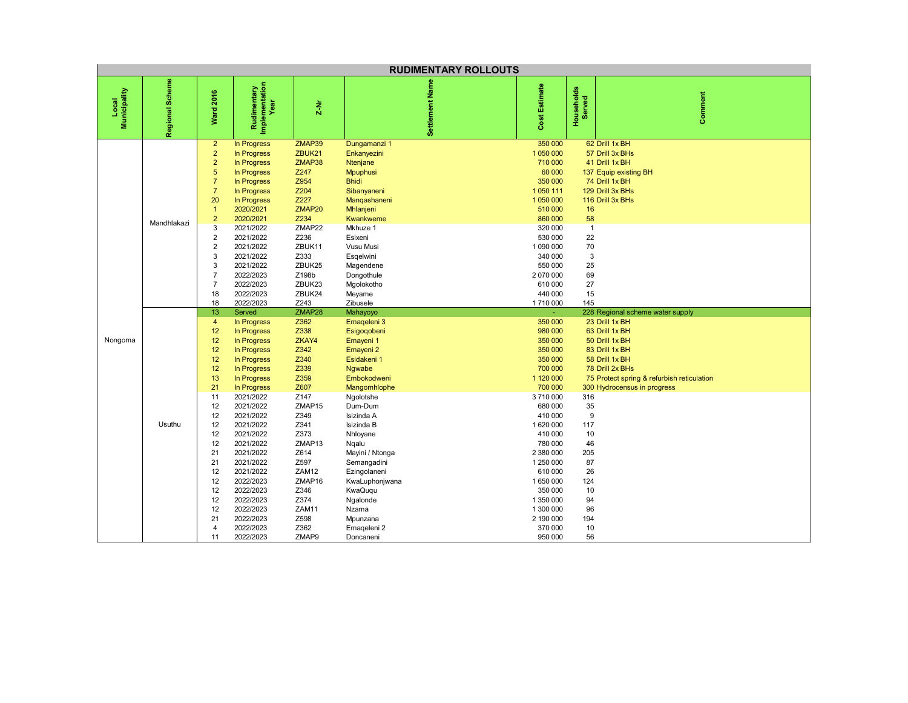| <b>RUDIMENTARY ROLLOUTS</b> |                 |                                                                                                                                                                                                                                                                 |                                                                                                                                                                                                                                                                                                                                                |                                                                                                                                                                                                                  |                                                                                                                                                                                                                                                                                                                                                          |                                                                                                                                                                                                                                                                                  |                                                                                                  |                                                                                                                                                                                                                            |  |  |
|-----------------------------|-----------------|-----------------------------------------------------------------------------------------------------------------------------------------------------------------------------------------------------------------------------------------------------------------|------------------------------------------------------------------------------------------------------------------------------------------------------------------------------------------------------------------------------------------------------------------------------------------------------------------------------------------------|------------------------------------------------------------------------------------------------------------------------------------------------------------------------------------------------------------------|----------------------------------------------------------------------------------------------------------------------------------------------------------------------------------------------------------------------------------------------------------------------------------------------------------------------------------------------------------|----------------------------------------------------------------------------------------------------------------------------------------------------------------------------------------------------------------------------------------------------------------------------------|--------------------------------------------------------------------------------------------------|----------------------------------------------------------------------------------------------------------------------------------------------------------------------------------------------------------------------------|--|--|
| Local<br>Municipality       | Regional Scheme | <b>Ward 2016</b>                                                                                                                                                                                                                                                | Rudimentary<br>Implementation<br>Year                                                                                                                                                                                                                                                                                                          | $2 - Nr$                                                                                                                                                                                                         | Settlement Nam                                                                                                                                                                                                                                                                                                                                           | Cost Estimate                                                                                                                                                                                                                                                                    | Households<br>Served                                                                             | Comment                                                                                                                                                                                                                    |  |  |
|                             | Mandhlakazi     | $\overline{2}$<br>$\overline{2}$<br>$\overline{2}$<br>$\overline{5}$<br>$\overline{7}$<br>$\overline{7}$<br>20<br>$\overline{1}$<br>$\overline{2}$<br>$\mathsf 3$<br>$\overline{2}$<br>$\overline{2}$<br>3<br>3<br>$\overline{7}$<br>$\overline{7}$<br>18<br>18 | In Progress<br>In Progress<br>In Progress<br>In Progress<br>In Progress<br>In Progress<br>In Progress<br>2020/2021<br>2020/2021<br>2021/2022<br>2021/2022<br>2021/2022<br>2021/2022<br>2021/2022<br>2022/2023<br>2022/2023<br>2022/2023<br>2022/2023                                                                                           | ZMAP39<br>ZBUK21<br>ZMAP38<br>Z247<br>Z954<br>Z204<br>Z227<br>ZMAP20<br>Z234<br>ZMAP22<br>Z236<br>ZBUK11<br>Z333<br>ZBUK25<br>Z198b<br>ZBUK23<br>ZBUK24<br>Z243                                                  | Dungamanzi 1<br>Enkanyezini<br>Ntenjane<br><b>Mpuphusi</b><br><b>Bhidi</b><br>Sibanyaneni<br>Mangashaneni<br>Mhlanjeni<br>Kwankweme<br>Mkhuze 1<br>Esixeni<br>Vusu Musi<br>Esgelwini<br>Magendene<br>Dongothule<br>Mgolokotho<br>Meyame<br>Zibusele                                                                                                      | 350 000<br>1 050 000<br>710 000<br>60 000<br>350 000<br>1 0 5 0 1 1 1<br>1 050 000<br>510 000<br>860 000<br>320 000<br>530 000<br>1 090 000<br>340 000<br>550 000<br>2 070 000<br>610 000<br>440 000<br>1710 000                                                                 | 16<br>58<br>$\overline{1}$<br>22<br>70<br>3<br>25<br>69<br>27<br>15<br>145                       | 62 Drill 1x BH<br>57 Drill 3x BHs<br>41 Drill 1x BH<br>137 Equip existing BH<br>74 Drill 1x BH<br>129 Drill 3x BHs<br>116 Drill 3x BHs                                                                                     |  |  |
| Nongoma                     | Usuthu          | 13<br>$\overline{4}$<br>12<br>12<br>12<br>12<br>12<br>13<br>21<br>11<br>12<br>12<br>12<br>12<br>12<br>21<br>21<br>12<br>12<br>12<br>12<br>12<br>21<br>4<br>11                                                                                                   | Served<br>In Progress<br>In Progress<br>In Progress<br>In Progress<br>In Progress<br>In Progress<br>In Progress<br>In Progress<br>2021/2022<br>2021/2022<br>2021/2022<br>2021/2022<br>2021/2022<br>2021/2022<br>2021/2022<br>2021/2022<br>2021/2022<br>2022/2023<br>2022/2023<br>2022/2023<br>2022/2023<br>2022/2023<br>2022/2023<br>2022/2023 | ZMAP28<br>Z362<br>Z338<br>ZKAY4<br>Z342<br>Z340<br>Z339<br>Z359<br>Z607<br>Z147<br>ZMAP15<br>Z349<br>Z341<br>Z373<br>ZMAP13<br>Z614<br>Z597<br>ZAM12<br>ZMAP16<br>Z346<br>Z374<br>ZAM11<br>Z598<br>Z362<br>ZMAP9 | Mahayoyo<br>Emageleni 3<br>Esigoqobeni<br>Emayeni 1<br>Emayeni <sub>2</sub><br>Esidakeni 1<br>Ngwabe<br>Embokodweni<br>Mangomhlophe<br>Ngolotshe<br>Dum-Dum<br>Isizinda A<br>Isizinda B<br>Nhloyane<br>Ngalu<br>Mayini / Ntonga<br>Semangadini<br>Ezingolaneni<br>KwaLuphonjwana<br>KwaQuqu<br>Ngalonde<br>Nzama<br>Mpunzana<br>Emageleni 2<br>Doncaneni | 350 000<br>980 000<br>350 000<br>350 000<br>350 000<br>700 000<br>1 120 000<br>700 000<br>3710000<br>680 000<br>410 000<br>1620000<br>410 000<br>780 000<br>2 380 000<br>1 250 000<br>610 000<br>1650000<br>350 000<br>1 350 000<br>1 300 000<br>2 190 000<br>370 000<br>950 000 | 316<br>35<br>9<br>117<br>10<br>46<br>205<br>87<br>26<br>124<br>10<br>94<br>96<br>194<br>10<br>56 | 228 Regional scheme water supply<br>23 Drill 1x BH<br>63 Drill 1x BH<br>50 Drill 1x BH<br>83 Drill 1x BH<br>58 Drill 1x BH<br>78 Drill 2x BHs<br>75 Protect spring & refurbish reticulation<br>300 Hydrocensus in progress |  |  |